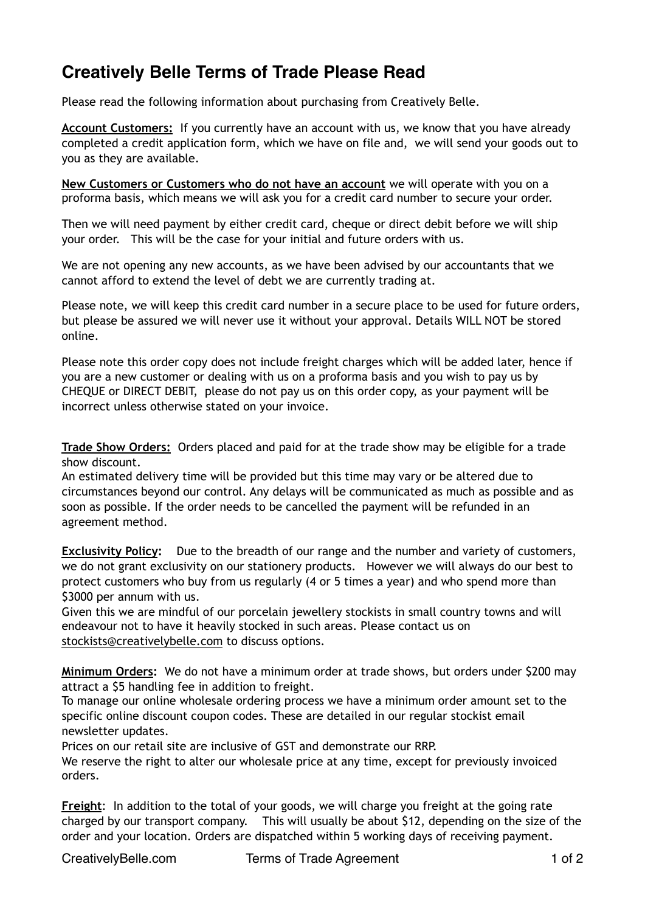## **Creatively Belle Terms of Trade Please Read**

Please read the following information about purchasing from Creatively Belle.

**Account Customers:** If you currently have an account with us, we know that you have already completed a credit application form, which we have on file and, we will send your goods out to you as they are available.

**New Customers or Customers who do not have an account** we will operate with you on a proforma basis, which means we will ask you for a credit card number to secure your order.

Then we will need payment by either credit card, cheque or direct debit before we will ship your order. This will be the case for your initial and future orders with us.

We are not opening any new accounts, as we have been advised by our accountants that we cannot afford to extend the level of debt we are currently trading at.

Please note, we will keep this credit card number in a secure place to be used for future orders, but please be assured we will never use it without your approval. Details WILL NOT be stored online.

Please note this order copy does not include freight charges which will be added later, hence if you are a new customer or dealing with us on a proforma basis and you wish to pay us by CHEQUE or DIRECT DEBIT, please do not pay us on this order copy, as your payment will be incorrect unless otherwise stated on your invoice.

**Trade Show Orders:** Orders placed and paid for at the trade show may be eligible for a trade show discount.

An estimated delivery time will be provided but this time may vary or be altered due to circumstances beyond our control. Any delays will be communicated as much as possible and as soon as possible. If the order needs to be cancelled the payment will be refunded in an agreement method.

**Exclusivity Policy:** Due to the breadth of our range and the number and variety of customers, we do not grant exclusivity on our stationery products. However we will always do our best to protect customers who buy from us regularly (4 or 5 times a year) and who spend more than \$3000 per annum with us.

Given this we are mindful of our porcelain jewellery stockists in small country towns and will endeavour not to have it heavily stocked in such areas. Please contact us on [stockists@creativelybelle.com](mailto:stockists@creativelybelle.com) to discuss options.

**Minimum Orders:** We do not have a minimum order at trade shows, but orders under \$200 may attract a \$5 handling fee in addition to freight.

To manage our online wholesale ordering process we have a minimum order amount set to the specific online discount coupon codes. These are detailed in our regular stockist email newsletter updates.

Prices on our retail site are inclusive of GST and demonstrate our RRP.

We reserve the right to alter our wholesale price at any time, except for previously invoiced orders.

**Freight**: In addition to the total of your goods, we will charge you freight at the going rate charged by our transport company. This will usually be about \$12, depending on the size of the order and your location. Orders are dispatched within 5 working days of receiving payment.